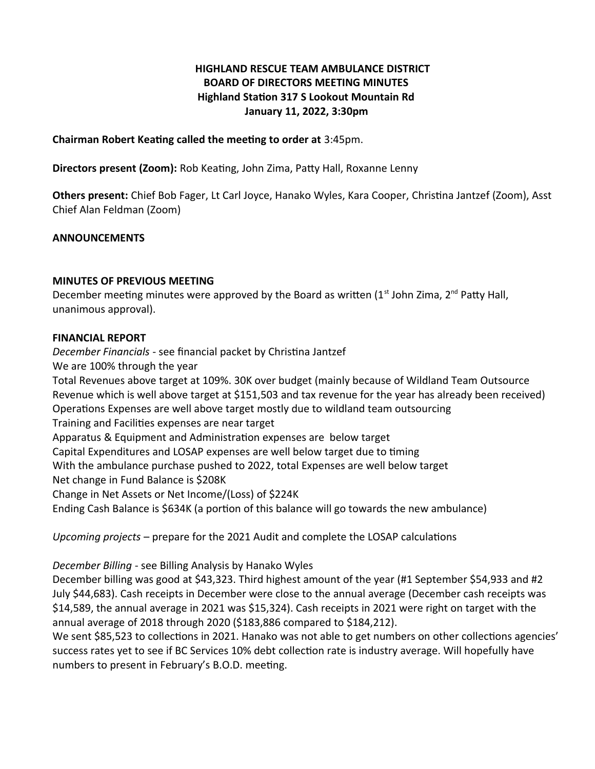# **HIGHLAND RESCUE TEAM AMBULANCE DISTRICT BOARD OF DIRECTORS MEETING MINUTES Highland Station 317 S Lookout Mountain Rd January 11, 2022, 3:30pm**

**Chairman Robert Keating called the meeting to order at** 3:45pm.

**Directors present (Zoom):** Rob Keating, John Zima, Patty Hall, Roxanne Lenny

**Others present:** Chief Bob Fager, Lt Carl Joyce, Hanako Wyles, Kara Cooper, Christina Jantzef (Zoom), Asst Chief Alan Feldman (Zoom)

### **ANNOUNCEMENTS**

#### **MINUTES OF PREVIOUS MEETING**

December meeting minutes were approved by the Board as written  $(1<sup>st</sup>$  John Zima,  $2<sup>nd</sup>$  Patty Hall, unanimous approval).

#### **FINANCIAL REPORT**

*December Financials* - see financial packet by Christina Jantzef

We are 100% through the year

Total Revenues above target at 109%. 30K over budget (mainly because of Wildland Team Outsource Revenue which is well above target at \$151,503 and tax revenue for the year has already been received) Operations Expenses are well above target mostly due to wildland team outsourcing Training and Facilities expenses are near target Apparatus & Equipment and Administration expenses are below target Capital Expenditures and LOSAP expenses are well below target due to timing With the ambulance purchase pushed to 2022, total Expenses are well below target Net change in Fund Balance is \$208K Change in Net Assets or Net Income/(Loss) of \$224K Ending Cash Balance is \$634K (a portion of this balance will go towards the new ambulance)

*Upcoming projects* – prepare for the 2021 Audit and complete the LOSAP calculations

*December Billing* - see Billing Analysis by Hanako Wyles

December billing was good at \$43,323. Third highest amount of the year (#1 September \$54,933 and #2 July \$44,683). Cash receipts in December were close to the annual average (December cash receipts was \$14,589, the annual average in 2021 was \$15,324). Cash receipts in 2021 were right on target with the annual average of 2018 through 2020 (\$183,886 compared to \$184,212).

We sent \$85,523 to collections in 2021. Hanako was not able to get numbers on other collections agencies' success rates yet to see if BC Services 10% debt collection rate is industry average. Will hopefully have numbers to present in February's B.O.D. meeting.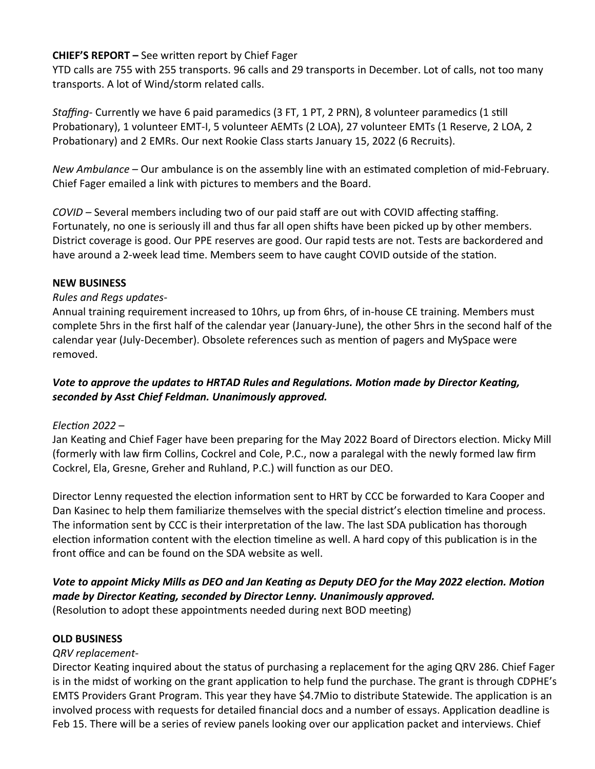## **CHIEF'S REPORT –** See written report by Chief Fager

YTD calls are 755 with 255 transports. 96 calls and 29 transports in December. Lot of calls, not too many transports. A lot of Wind/storm related calls.

*Staffing-* Currently we have 6 paid paramedics (3 FT, 1 PT, 2 PRN), 8 volunteer paramedics (1 still Probationary), 1 volunteer EMT-I, 5 volunteer AEMTs (2 LOA), 27 volunteer EMTs (1 Reserve, 2 LOA, 2 Probationary) and 2 EMRs. Our next Rookie Class starts January 15, 2022 (6 Recruits).

*New Ambulance –* Our ambulance is on the assembly line with an estimated completion of mid-February. Chief Fager emailed a link with pictures to members and the Board.

*COVID –* Several members including two of our paid staff are out with COVID affecting staffing. Fortunately, no one is seriously ill and thus far all open shifts have been picked up by other members. District coverage is good. Our PPE reserves are good. Our rapid tests are not. Tests are backordered and have around a 2-week lead time. Members seem to have caught COVID outside of the station.

### **NEW BUSINESS**

### *Rules and Regs updates-*

Annual training requirement increased to 10hrs, up from 6hrs, of in-house CE training. Members must complete 5hrs in the first half of the calendar year (January-June), the other 5hrs in the second half of the calendar year (July-December). Obsolete references such as mention of pagers and MySpace were removed.

## *Vote to approve the updates to HRTAD Rules and Regulations. Motion made by Director Keating, seconded by Asst Chief Feldman. Unanimously approved.*

## *Election 2022* –

Jan Keating and Chief Fager have been preparing for the May 2022 Board of Directors election. Micky Mill (formerly with law firm Collins, Cockrel and Cole, P.C., now a paralegal with the newly formed law firm Cockrel, Ela, Gresne, Greher and Ruhland, P.C.) will function as our DEO.

Director Lenny requested the election information sent to HRT by CCC be forwarded to Kara Cooper and Dan Kasinec to help them familiarize themselves with the special district's election timeline and process. The information sent by CCC is their interpretation of the law. The last SDA publication has thorough election information content with the election timeline as well. A hard copy of this publication is in the front office and can be found on the SDA website as well.

## *Vote to appoint Micky Mills as DEO and Jan Keating as Deputy DEO for the May 2022 election. Motion made by Director Keating, seconded by Director Lenny. Unanimously approved.* (Resolution to adopt these appointments needed during next BOD meeting)

#### **OLD BUSINESS**

## *QRV replacement-*

Director Keating inquired about the status of purchasing a replacement for the aging QRV 286. Chief Fager is in the midst of working on the grant application to help fund the purchase. The grant is through CDPHE's EMTS Providers Grant Program. This year they have \$4.7Mio to distribute Statewide. The application is an involved process with requests for detailed financial docs and a number of essays. Application deadline is Feb 15. There will be a series of review panels looking over our application packet and interviews. Chief